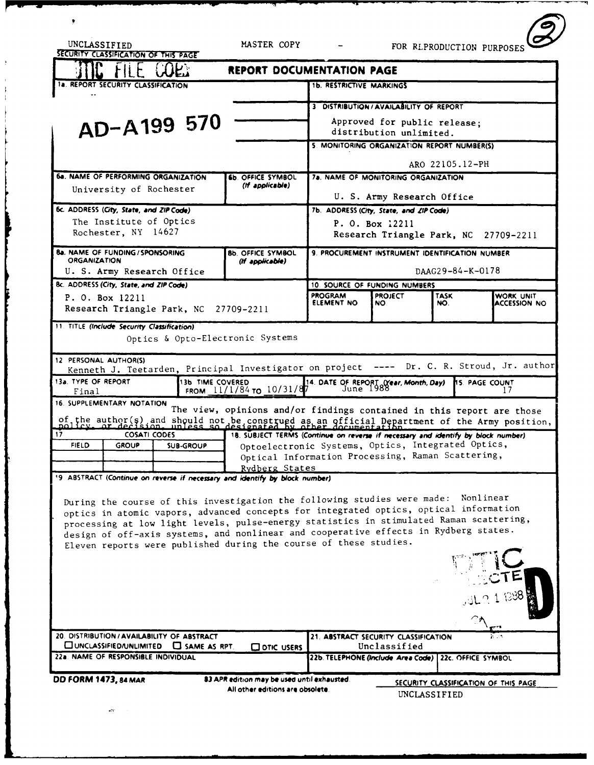| UNCLASSIFIED                                                                                                                                                                     | SECURITY CLASSIFICATION OF THIS PAGE |                                                                    | MASTER COPY                                 |                                                                                                         |                                                      | FOR RLPRODUCTION PURPOSES |                                  |
|----------------------------------------------------------------------------------------------------------------------------------------------------------------------------------|--------------------------------------|--------------------------------------------------------------------|---------------------------------------------|---------------------------------------------------------------------------------------------------------|------------------------------------------------------|---------------------------|----------------------------------|
|                                                                                                                                                                                  |                                      |                                                                    | <b>REPORT DOCUMENTATION PAGE</b>            |                                                                                                         |                                                      |                           |                                  |
|                                                                                                                                                                                  | 1a. REPORT SECURITY CLASSIFICATION   |                                                                    |                                             | <b>1b. RESTRICTIVE MARKINGS</b>                                                                         |                                                      |                           |                                  |
|                                                                                                                                                                                  |                                      |                                                                    |                                             |                                                                                                         | 3 DISTRIBUTION / AVAILABILITY OF REPORT              |                           |                                  |
| AD-A199 570                                                                                                                                                                      |                                      |                                                                    |                                             | Approved for public release;                                                                            |                                                      |                           |                                  |
|                                                                                                                                                                                  |                                      |                                                                    |                                             | distribution unlimited.<br>5. MONITORING ORGANIZATION REPORT NUMBER(S)                                  |                                                      |                           |                                  |
|                                                                                                                                                                                  |                                      |                                                                    |                                             |                                                                                                         |                                                      |                           |                                  |
|                                                                                                                                                                                  |                                      |                                                                    |                                             |                                                                                                         |                                                      | ARO 22105.12-PH           |                                  |
|                                                                                                                                                                                  | University of Rochester              | <b>6a. NAME OF PERFORMING ORGANIZATION</b>                         | <b>6b. OFFICE SYMBOL</b><br>(If applicable) | 7a. NAME OF MONITORING ORGANIZATION                                                                     |                                                      |                           |                                  |
|                                                                                                                                                                                  |                                      |                                                                    |                                             | U. S. Army Research Office                                                                              |                                                      |                           |                                  |
| 6c. ADDRESS (City, State, and ZIP Code)<br>The Institute of Optics                                                                                                               |                                      |                                                                    |                                             | 7b. ADDRESS (City, State, and ZIP Code)                                                                 |                                                      |                           |                                  |
| Rochester, NY 14627                                                                                                                                                              |                                      |                                                                    |                                             | P. O. Box 12211<br>Research Triangle Park, NC 27709-2211                                                |                                                      |                           |                                  |
|                                                                                                                                                                                  | 8a. NAME OF FUNDING / SPONSORING     |                                                                    | <b>8b. OFFICE SYMBOL</b>                    | 9. PROCUREMENT INSTRUMENT IDENTIFICATION NUMBER                                                         |                                                      |                           |                                  |
| <b>ORGANIZATION</b><br>(If applicable)<br>U. S. Army Research Office                                                                                                             |                                      |                                                                    |                                             | DAAG29-84-K-0178                                                                                        |                                                      |                           |                                  |
| 8c. ADDRESS (City, State, and ZIP Code)                                                                                                                                          |                                      |                                                                    |                                             | 10. SOURCE OF FUNDING NUMBERS                                                                           |                                                      |                           |                                  |
| P. O. Box 12211                                                                                                                                                                  |                                      |                                                                    |                                             | <b>PROGRAM</b><br><b>ELEMENT NO</b>                                                                     | <b>PROJECT</b><br>NO.                                | <b>TASK</b><br>NO.        | WORK UNIT<br><b>ACCESSION NO</b> |
| Research Triangle Park, NC<br>27709-2211                                                                                                                                         |                                      |                                                                    |                                             |                                                                                                         |                                                      |                           |                                  |
| 11. TITLE (Include Security Classification)<br>Optics & Opto-Electronic Systems                                                                                                  |                                      |                                                                    |                                             |                                                                                                         |                                                      |                           |                                  |
| 12 PERSONAL AUTHOR(S)<br>---- Dr. C. R. Stroud, Jr. author<br>Kenneth J. Teetarden, Principal Investigator on project                                                            |                                      |                                                                    |                                             |                                                                                                         |                                                      |                           |                                  |
| 13a. TYPE OF REPORT<br>Final                                                                                                                                                     |                                      | <b>13b TIME COVERED</b>                                            | FROM $11/1/84$ TO $10/31/87$                | 14. DATE OF REPORT (Year, Month, Day)<br>7 June 1988<br><b>15. PAGE COUNT</b>                           |                                                      |                           |                                  |
|                                                                                                                                                                                  | 16. SUPPLEMENTARY NOTATION           |                                                                    |                                             |                                                                                                         |                                                      |                           |                                  |
| The view, opinions and/or findings contained in this report are those<br>of the author(s) and should not be construed as an official Department of the Army position,            |                                      |                                                                    |                                             |                                                                                                         |                                                      |                           |                                  |
| 17<br><b>COSATI CODES</b><br>18. SUBJECT TERMS (Continue on reverse if necessary and identify by block number)                                                                   |                                      |                                                                    |                                             |                                                                                                         |                                                      |                           |                                  |
| <b>FIELD</b>                                                                                                                                                                     | GROUP                                | SUB-GROUP                                                          |                                             | Optoelectronic Systems, Optics, Integrated Optics,<br>Optical Information Processing, Raman Scattering, |                                                      |                           |                                  |
|                                                                                                                                                                                  |                                      |                                                                    | Rydberg States                              |                                                                                                         |                                                      |                           |                                  |
| 19 ABSTRACT (Continue on reverse if necessary and identify by block number)                                                                                                      |                                      |                                                                    |                                             |                                                                                                         |                                                      |                           |                                  |
| Nonlinear<br>During the course of this investigation the following studies were made:                                                                                            |                                      |                                                                    |                                             |                                                                                                         |                                                      |                           |                                  |
| optics in atomic vapors, advanced concepts for integrated optics, optical information<br>processing at low light levels, pulse-energy statistics in stimulated Raman scattering, |                                      |                                                                    |                                             |                                                                                                         |                                                      |                           |                                  |
| design of off-axis systems, and nonlinear and cooperative effects in Rydberg states.                                                                                             |                                      |                                                                    |                                             |                                                                                                         |                                                      |                           |                                  |
| Eleven reports were published during the course of these studies.                                                                                                                |                                      |                                                                    |                                             |                                                                                                         |                                                      |                           |                                  |
|                                                                                                                                                                                  |                                      |                                                                    |                                             |                                                                                                         |                                                      |                           |                                  |
|                                                                                                                                                                                  |                                      |                                                                    |                                             |                                                                                                         |                                                      |                           |                                  |
|                                                                                                                                                                                  |                                      |                                                                    |                                             |                                                                                                         |                                                      |                           |                                  |
|                                                                                                                                                                                  |                                      |                                                                    |                                             |                                                                                                         |                                                      |                           |                                  |
|                                                                                                                                                                                  |                                      |                                                                    |                                             |                                                                                                         |                                                      |                           |                                  |
|                                                                                                                                                                                  | UNCLASSIFIED/UNLIMITED               | 20. DISTRIBUTION / AVAILABILITY OF ABSTRACT<br>$\Box$ SAME AS RPT. | O OTIC USERS                                |                                                                                                         | 21. ABSTRACT SECURITY CLASSIFICATION<br>Unclassified |                           |                                  |
|                                                                                                                                                                                  | 22a. NAME OF RESPONSIBLE INDIVIDUAL  |                                                                    |                                             |                                                                                                         | 22b. TELEPHONE (Include Area Code)                   | 22c. OFFICE SYMBOL        |                                  |
| DD FORM 1473, 84 MAR<br>83 APR edition may be used until exhausted.<br>SECURITY CLASSIFICATION OF THIS PAGE<br>All other editions are obsolete.                                  |                                      |                                                                    |                                             |                                                                                                         |                                                      |                           |                                  |
| UNCLASSIFIED                                                                                                                                                                     |                                      |                                                                    |                                             |                                                                                                         |                                                      |                           |                                  |

 $\overline{K}$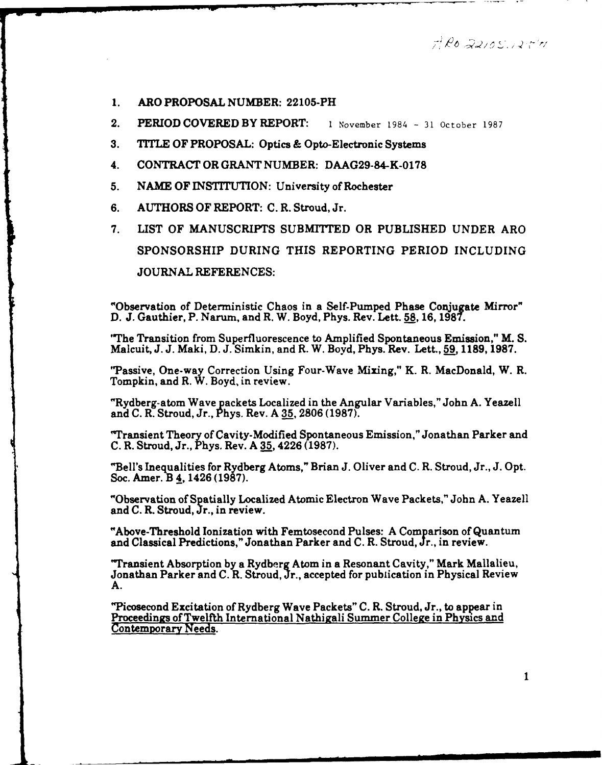$7R$ o 22105.12511

- **1.** ARO PROPOSAL **NUMBER:** 22105-PH
- 2. PERIOD COVERED BY REPORT: **1** November 1984 31 October 1987
- **3.** TITLE OF PROPOSAL: Optics & Opto-Electronic Systems

l I **I** I. l **I ,** *,.* -J " . *'*

- 4. **CONTRACT** OR GRANT NUMBER: DAAG29-84-K-0178
- **5. NAME** OF INSTITUTION: University of Rochester
- **6.** AUTHORS OF REPORT: **C.** R. Stroud, Jr.
- **7.** LIST OF **MANUSCRIPTS SUBMITTED** OR PUBLISHED **UNDER** ARO SPONSORSHIP DURING **THIS** REPORTING PERIOD **INCLUDING JOURNAL REFERENCES:**

"Observation of Deterministic Chaos in a Self-Pumped Phase Conjugate Mirror" **D. J.** Gauthier, P. Narum, and R. W. Boyd, Phys. Rev. Lett. **58, 16, 1987.**

"The Transition from Superfluorescence to Amplified Spontaneous Emission," M. **S.** Malcuit, **J. J.** Maki, **D. J.** Simkin, and R. W. Boyd, Phys. Rev. Lett., **59 1189, 1987.**

"Passive, One-way Correction Using Four-Wave Mixing," K. R. MacDonald, W. R. Tompkin, and R. W. Boyd, in review.

"Rydberg-atom Wave packets Localized in the Angular Variables," John **A.** Yeazell and **C.** R. Stroud, Jr., Phys. Rev. A **35, 2806 (1987).**

"Transient Theory of Cavity-Modified Spontaneous Emission," Jonathan Parker and **C.** R. Stroud, Jr., Phys. Rev. **A 35,** 4226 **(1987).**

"Bell's Inequalities for Rydberg Atoms," Brian **J.** Oliver and **C.** R. Stroud, Jr., **J.** Opt. Soc. Amer. B 4, 1426 **(1987).**

"Observation of Spati ally Localized Atomic Electron Wave Packets," John **A.** Yeazell and **C.** R. Stroud, Jr., in review.

"Above-Threshold Ionization with Femtosecond Pulses: A Comparison of Quantum and Classical Predictions," Jonathan Parker and C. R. Stroud, Jr., in review.

"Transient Absorption by a Rydberg Atom in a Resonant Cavity," Mark Mallalieu, Jonathan Parker and C. R. Stroud, Jr., accepted for publication in Physical Review A.

"Picosecond Excitation of Rydberg Wave Packets" C. R. Stroud, Jr., to appear in Proceedings of Twelfth International Nathigali Summer College in Physics and Contemporary Needs.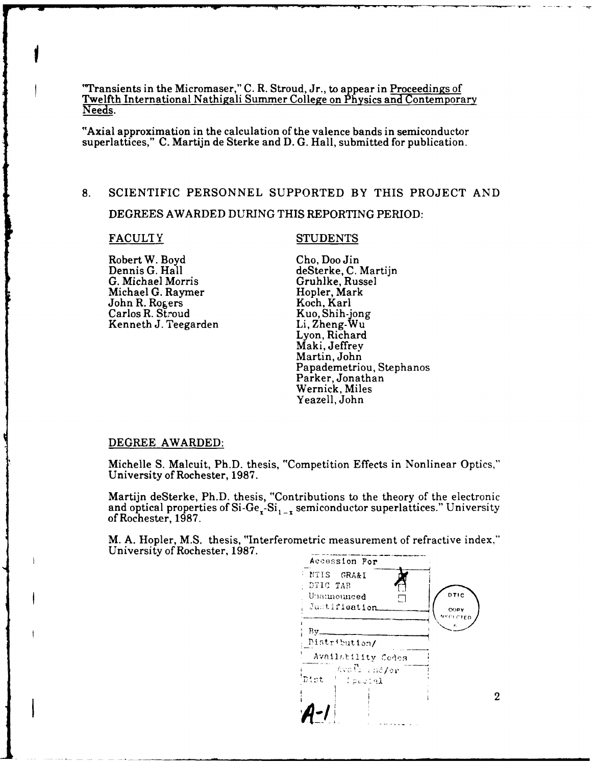"Transients in the Micromaser," C. R. Stroud, Jr., to appear in Proceedings of Twelfth International Nathigali Summer College on Physics and Contemporary Needs.

"Axial approximation in the calculation of the valence bands in semiconductor superlattices," C. Martijn de Sterke and D. G. Hall, submitted for publication.

# 8. SCIENTIFIC PERSONNEL SUPPORTED BY THIS PROJECT AND

DEGREES AWARDED DURING THIS REPORTING PERIOD:

Robert W. Boyd Cho, Doo Jin Dennis G. Hall deSterke, C. Martijn G. Michael Morris Gruhlke, Russel Michael G. Raymer<br>
John R. Rogers
Hopler, Mark<br>
Koch, Karl John R. Rogers Koch, Karl<br>Carlos R. Stroud Kuo, Shih-jong Carlos R. Stroud Kuo, Shih-jong<br>Kenneth J. Teegarden Li, Zheng-Wu Kenneth J. Teegarden

# FACULTY STUDENTS

Lyon, Richard Maki, Jeffrey Martin, John Papademetriou, Stephanos Parker, Jonathan Wernick, Miles Yeazell, John

#### DEGREE AWARDED:

Michelle S. Malcuit, Ph.D. thesis, "Competition Effects in Nonlinear Optics," University of Rochester, 1987.

Martijn deSterke, Ph.D. thesis, "Contributions to the theory of the electronic and optical properties of  $Si-Ge - Si_{1-x}$  semiconductor superlattices." University of Rochester, 1987.

M. A. Hopler, M.S. thesis, "Interferometric measurement of refractive index," University of Rochester, 1987.<br>Accession **For** 

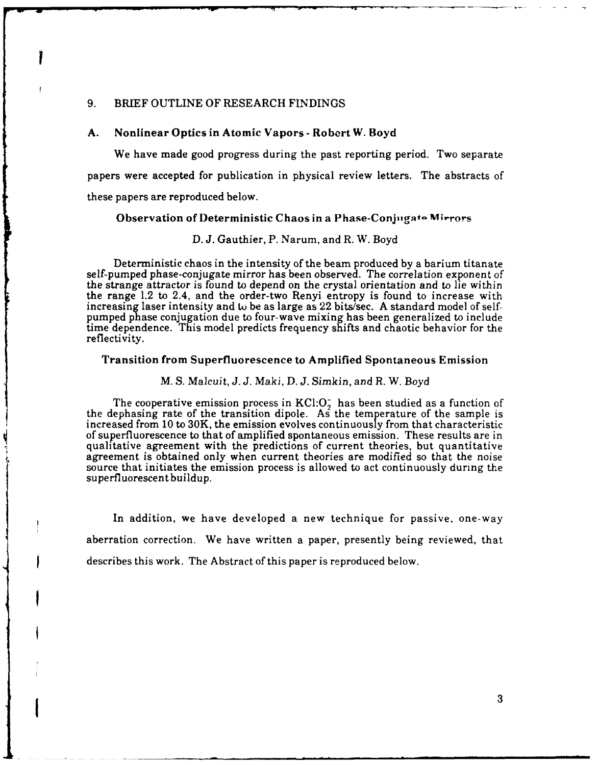# 9. BRIEF OUTLINE OF RESEARCH FINDINGS

#### **A.** Nonlinear Optics in Atomic Vapors **-** Robert W. Boyd

We have made good progress during the past reporting period. Two separate papers were accepted for publication in physical review letters. The abstracts of these papers are reproduced below.

#### Observation of Deterministic Chaos in a Phase-Conjugato Mirrors

#### **D. J.** Gauthier, P. Narum, and R. W. Boyd

Deterministic chaos in the intensity of the beam produced **by** a barium titanate self-pumped phase-conjugate mirror has been observed. The correlation exponent of the strange attractor is found to depend on the crystal orientation and to lie within the range 1.2 to 2.4, and the order-two Renyi entropy is found to increase with increasing laser intensity and **to** be as large as 22 bits/sec. **A** standard model of selfpumped **phase** conjugation due to four-wave mixing has been generalized to include time dependence. This model predicts frequency shifts and chaotic behavior for the reflectivity.

#### Transition from Superfluorescence to Amplified Spontaneous Emission

#### *M.* **S.** Malcuit, J. *J.* Maki, **D.** *J.* Simkin, and R. W. Boyd

The cooperative emission process in  $KCl:O<sub>i</sub>$  has been studied as a function of the dephasing rate of the transition dipole. As the temperature of the sample is increased from 10 to 30K, the emission evolves continuously from that characteristic of superfluorescence to that of amplified spontaneous emission. These results are in qualitative agreement with the predictions of current theories, but quantitative agreement is obtained only when current theories are modified so that the noise source that initiates the emission process is allowed to act continuously during the superfluorescent buildup.

In addition, we have developed a new technique for passive, one-way aberration correction. We have written a paper, presently being reviewed, that describes this work. The Abstract of this paper is reproduced below.

**t**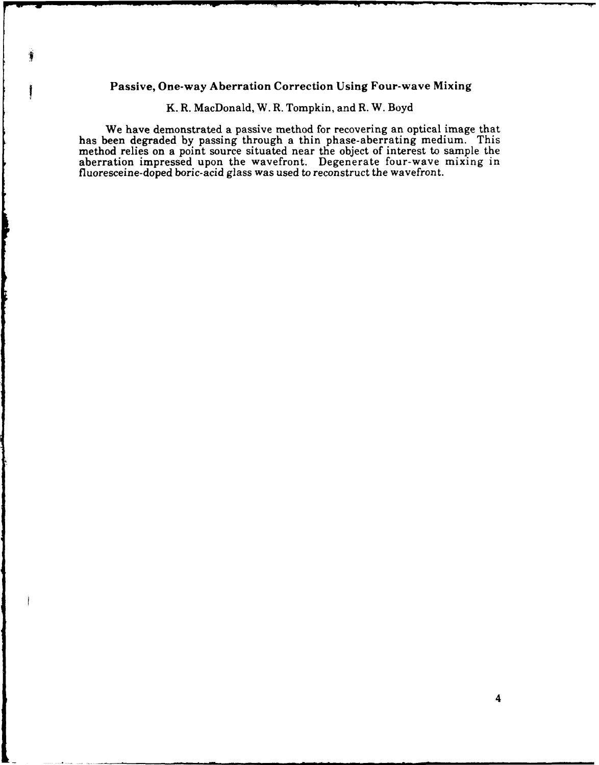# Passive, One-way Aberration Correction Using Four-wave Mixing

奢

I

|<br>|

K. R. MacDonald, W. R. Tompkin, and R. W. Boyd

We have demonstrated a passive method for recovering an optical image that has been degraded **by** passing through a thin phase-aberrating medium. This method relies on a point source situated near the object of interest to sample the aberration impressed upon the wavefront. Degenerate four-wave mixing in fluoresceine-doped boric-acid glass was used to reconstruct the wavefront.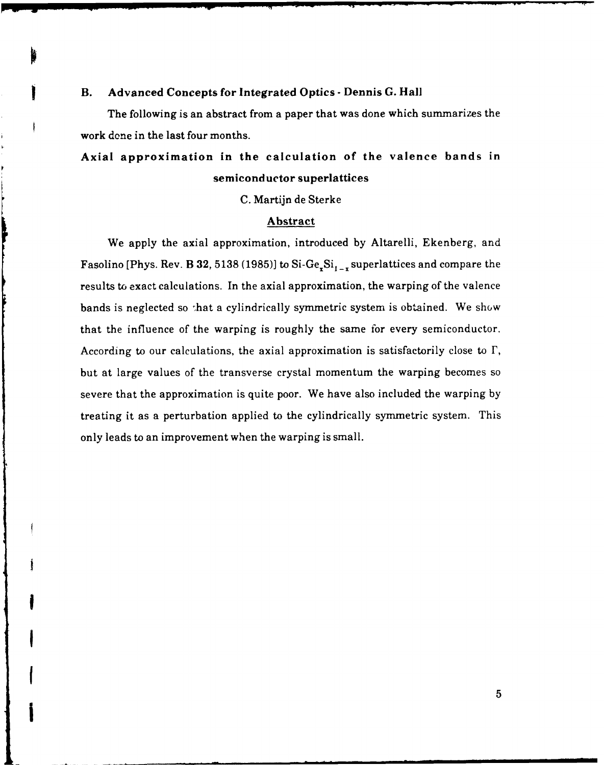# B. Advanced Concepts for Integrated Optics **-** Dennis **G.** Hall

The following is an abstract from a paper that was done which summarizes the work done in the last four months.

# Axial approximation in the calculation of the valence bands in semiconductor superlattices

**C.** Martijn de Sterke

# Abstract

We apply the axial approximation, introduced **by** Altarelli, Ekenberg, and Fasolino [Phys. Rev. B 32, 5138 (1985)] to Si-Ge<sub>x</sub>Si<sub>1-x</sub> superlattices and compare the results to exact calculations. In the axial approximation, the warping of the valence bands is neglected so 'hat a cylindrically symmetric system is obtained. We show that the influence of the warping is roughly the same for every semiconductor. According to our calculations, the axial approximation is satisfactorily close to **F,** but at large values of the transverse crystal momentum the warping becomes so severe that the approximation is quite poor. We have also included the warping **by** treating it as a perturbation applied to the cylindrically symmetric system. This only leads to an improvement when the warping is small.

I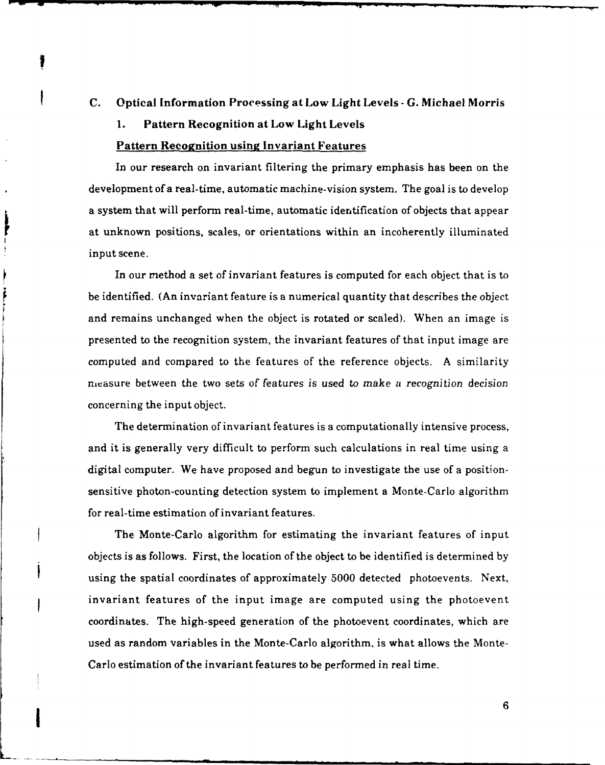# **C. Optical Information Processing at Low Light Levels - G. Michael Morris**

# **1. Pattern Recognition at Low Light Levels**

# **Pattern Recognition using Invariant Features**

In our research on invariant filtering the primary emphasis has been on the development of a real-time, automatic machine-vision system. The goal is to develop a system that will perform real-time, automatic identification of objects that appear at unknown positions, scales, or orientations within an incoherently illuminated input scene.

In our method a set of invariant features is computed for each object that is to be identified. (An invariant feature is a numerical quantity that describes the object and remains unchanged when the object is rotated or scaled). When an image is presented to the recognition system, the invariant features of that input image are computed and compared to the features of the reference objects. **A** similarity measure between the two sets of features is used to make a recognition decision concerning the input object.

The determination of invariant features is a computationally intensive process, and it is generally very difficult to perform such calculations in real time using a digital computer. We have proposed and begun to investigate the use of a positionsensitive photon-counting detection system to implement a Monte-Carlo algorithm for real-time estimation of invariant features.

The Monte-Carlo algorithm for estimating the invariant features of input objects is as follows. First, the location of the object to be identified is determined by using the spatial coordinates of approximately 5000 detected photoevents. Next, invariant features of the input image are computed using the photoevent coordinates. The high-speed generation of the photoevent coordinates, which are used as random variables in the Monte-Carlo algorithm, is what allows the Monte-Carlo estimation of the invariant features to be performed in real time.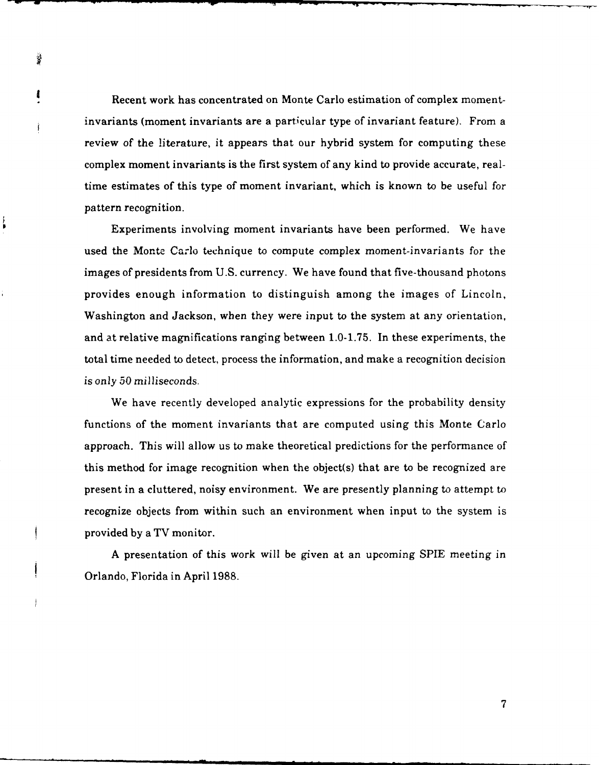Recent work has concentrated on Monte Carlo estimation of complex momentinvariants (moment invariants are a particular type of invariant feature). From a review of the literature, it appears that our hybrid system for computing these complex moment invariants is the first system of any kind to provide accurate, realtime estimates of this type of moment invariant, which is known to be useful for pattern recognition.

Š

ŧ

Experiments involving moment invariants have been performed. We have used the Monte Carlo technique to compute complex moment-invariants for the images of presidents from U.S. currency. We have found that five-thousand photons provides enough information to distinguish among the images of Lincoln, Washington and Jackson, when they were input to the system at any orientation, and at relative magnifications ranging between 1.0-1.75. In these experiments, the total time needed to detect, process the information, and make a recognition decision *is only* 50 milliseconds.

We have recently developed analytic expressions for the probability density functions of the moment invariants that are computed using this Monte Carlo approach. This will allow us to make theoretical predictions for the performance of this method for image recognition when the object(s) that are to be recognized are present in a cluttered, noisy environment. We are presently planning to attempt to recognize objects from within such an environment when input to the system is provided by a TV monitor.

A presentation of this work will be given at an upcoming SPIE meeting in Orlando, Florida in April 1988.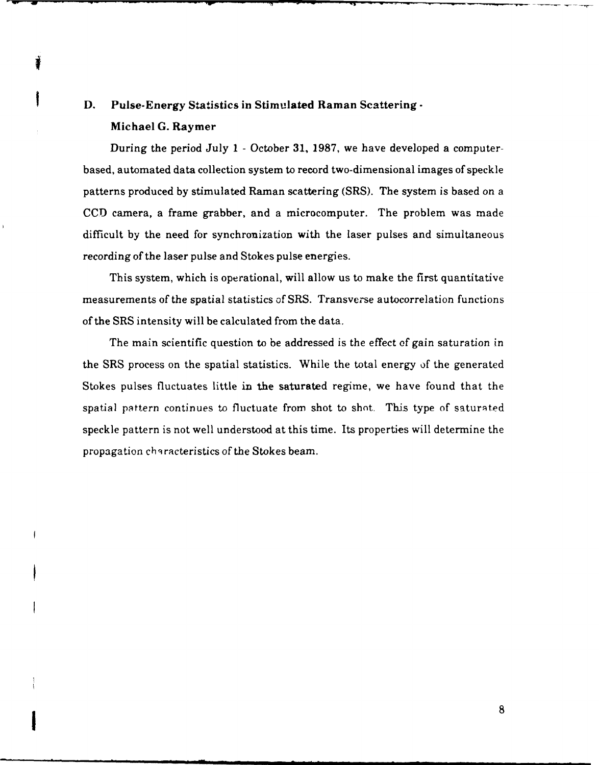# **D.** Pulse-Energy Statistics in Stimulated Raman Scattering **-** Michael **G.** Raymer

Ĭ

During the period July **1 -** October **31, 1987,** we have developed a computerbased, automated data collection system to record two-dimensional images of speckle patterns produced by stimulated Raman scattering (SRS). The system is based on a CCD camera, a frame grabber, and a microcomputer. The problem was made difficult by the need for synchronization with the laser pulses and simultaneous recording of the laser pulse and Stokes pulse energies.

This system, which is operational, will allow us to make the first quantitative measurements of the spatial statistics of SRS. Transverse autocorrelation functions of the SRS intensity will be calculated from the data.

The main scientific question to be addressed is the effect of gain saturation in the SRS process on the spatial statistics. While the total energy of the generated Stokes pulses fluctuates little in the saturated regime, we have found that the spatial pattern continues to fluctuate from shot to shot. This type of saturated speckle pattern is not well understood at this time. Its properties will determine the propagation characteristics of the Stokes beam.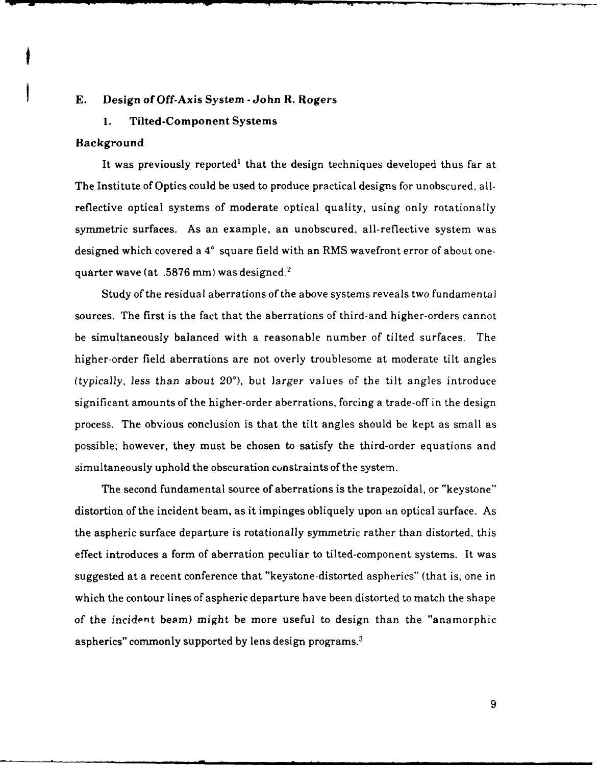#### **E. Design of Off-Axis System -John R. Rogers**

# **1. Tilted-Component Systems**

# **Background**

 $\ddot{\bullet}$ 

**It was previously reported' that the design techniques developed thus** far at The Institute of Optics could be used to produce practical designs for unobscured, allreflective optical systems of moderate optical quality, using only rotationally symmetric surfaces. As an example, an unobscured, all-reflective system was designed which covered a **4'** square field with an RMS wavefront error of about onequarter wave (at **.5876** mm) was designed.'

Study of the residual aberrations of the above systems reveals two fundamental sources. The first is the fact that the aberrations of third-and higher-orders cannot be simultaneously balanced with a reasonable number of tilted surfaces. The higher-order field aberrations are not overly troublesome at moderate tilt angles (typically, less than about  $20^{\circ}$ ), but larger values of the tilt angles introduce significant amounts of the higher-order aberrations, forcing a trade-off in the design process. The obvious conclusion is that the tilt angles should be kept as small as possible; however, they must be chosen to satisfy the third-order equations and simultaneously uphold the obscuration constraints of the system.

The second fundamental source of aberrations is the trapezoidal, or "keystone" distortion of the incident beam, as it impinges obliquely upon an optical surface. As the aspheric surface departure is rotationally symmetric rather than distorted, this effect introduces a form of aberration peculiar to tilted-component systems. It was suggested at a recent conference that "keystone-distorted aspherics" (that is, one in which the contour lines of aspheric departure have been distorted to match the shape of the *incident* beam) might be more useful to design than the "anamorphic aspherics" commonly supported by lens design programs.3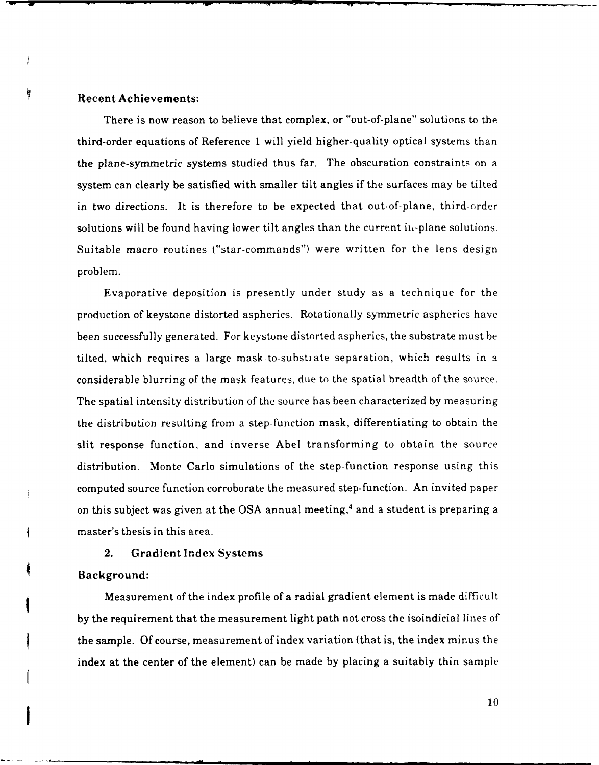# Recent Achievements:

卡

ij

There is now reason to believe that complex, or "out-of-plane" solutions to the third-order equations of Reference **1** will yield higher-quality optical systems than the plane-symmetric systems studied thus far. The obscuration constraints on a system can clearly be satisfied with smaller tilt angles if the surfaces may be tilted in two directions. It is therefore to be expected that out-of-plane, third-order solutions will be found having lower tilt angles than the current ih'-plane solutions. Suitable macro routines ("star-commands") were written for the lens design problem.

Evaporative deposition is presently under study as a technique for the production of keystone distorted aspherics. Rotationally symmetric aspherics have been successfully generated. For keystone distorted aspherics, the substrate must be tilted, which requires a large mask-to-substrate separation, which results in a considerable blurring of the mask features, due to the spatial breadth of the source. The spatial intensity distribution of the source has been characterized by measuring the distribution resulting from a step-function mask, differentiating to obtain the slit response function, and inverse Abel transforming to obtain the source distribution. Monte Carlo simulations of the step-function response using this computed source function corroborate the measured step-function. An invited paper on this subject was given at the OSA annual meeting,<sup>4</sup> and a student is preparing a master's thesis in this area.

# 2. Gradient Index Systems

# Background:

**I**

ł

ŧ

wMeasurement of the index profile of a radial gradient element is made difficult by the requirement that the measurement light path not cross the isoindicial lines of the sample. Of course, measurement of index variation (that is, the index minus the index at the center of the element) can be made by placing a suitably thin sample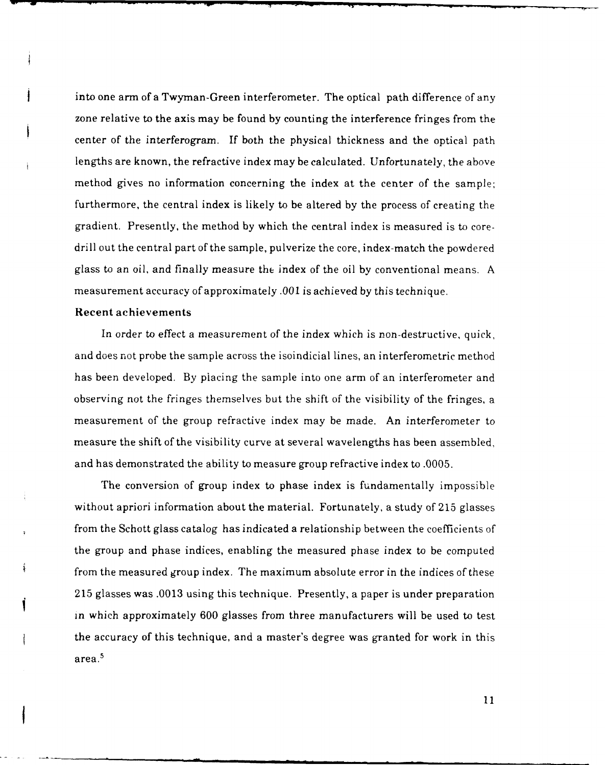into one arm of a Twyman-Green interferometer. The optical path difference of any zone relative to the axis may be found by counting the interference fringes from the center of the interferogram. If both the physical thickness and the optical path lengths are known, the refractive index may be calculated. Unfortunately, the above method gives no information concerning the index at the center of the sample; furthermore, the central index is likely to be altered by the process of creating the gradient. Presently, the method by which the central index is measured is to coredrill out the central part of the sample, pulverize the core, index-match the powdered glass to an oil, and finally measure the index of the oil by conventional means. A measurement accuracy of approximately .001 is achieved by this technique.

#### Recent achievements

In order to effect a measurement of the index which is non-destructive, quick, and does not probe the sample across the isoindicial lines, an interferometric method has been developed. By placing the sample into one arm of an interferometer and observing not the fringes themselves but the shift of the visibility of the fringes, a measurement of the group refractive index may be made. An interferometer to measure the shift of the visibility curve at several wavelengths has been assembled, and has demonstrated the ability to measure group refractive index to .0005.

The conversion of group index to phase index is fundamentally impossible without apriori information about the material. Fortunately, a study of 215 glasses from the Schott glass catalog has indicated a relationship between the coefficients of the group and phase indices, enabling the measured phase index to be computed from the measured group index. The maximum absolute error in the indices of these 215 glasses was .0013 using this technique. Presently, a paper is under preparation in which approximately 600 glasses from three manufacturers will be used to test the accuracy of this technique, and a master's degree was granted for work in this area.5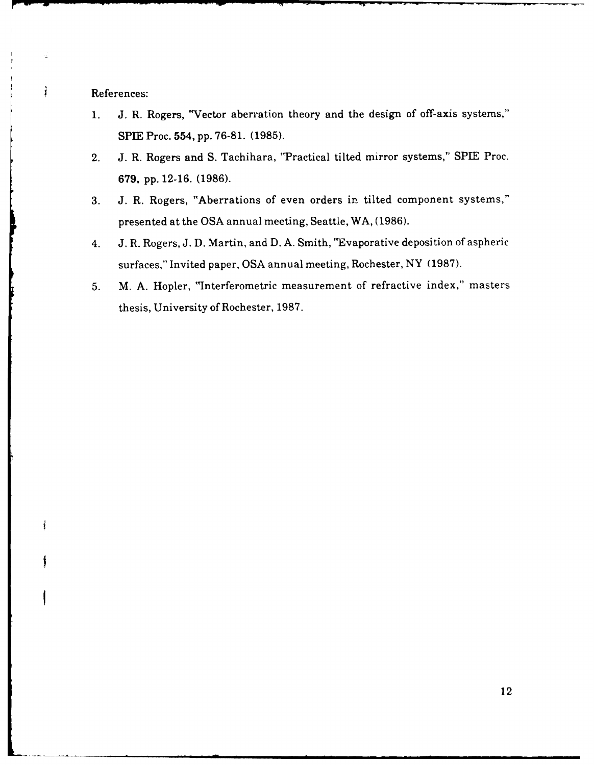References:

 $\hat{\pmb{f}}$ 

Ť

- 1. J. R. Rogers, "Vector aberration theory and the design of off-axis systems," SPIE Proc. 554, pp. 76-81. (1985).
- 2. J. R. Rogers and S. Tachihara, 'Practical tilted mirror systems," SPLE Proc. 679, pp. 12-16. (1986).
- 3. J. R. Rogers, "Aberrations of even orders in tilted component systems," presented at the OSA annual meeting, Seattle, WA, (1986).
- 4. J. R. Rogers, J. D. Martin, and D. A. Smith, "Evaporative deposition of aspheric surfaces," Invited paper, OSA annual meeting, Rochester, NY (1987).
- 5. M. A. Hopler, "Interferometric measurement of refractive index," masters thesis, University of Rochester, 1987.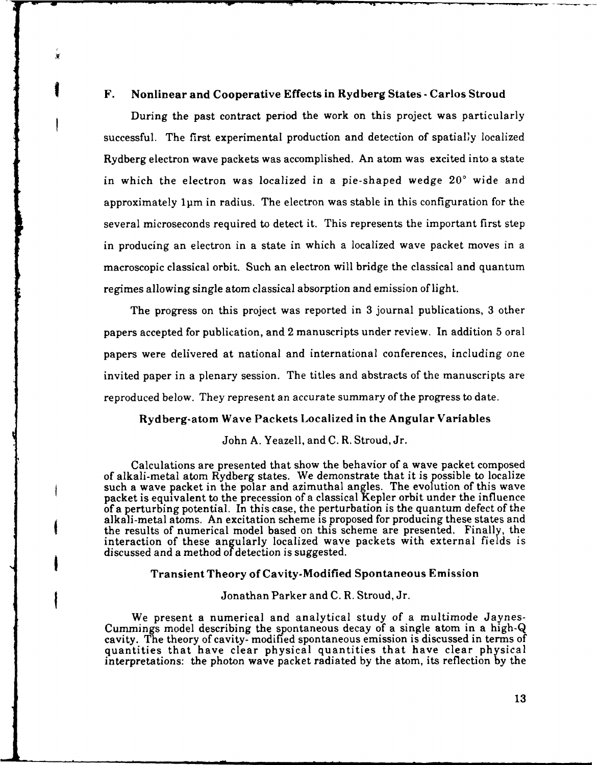# F. Nonlinear and Cooperative Effects in Rydberg States **-**Carlos Stroud

¥

During the past contract period the work on this project was particularly successful. The first experimental production and detection of spatialy localized Rydberg electron wave packets was accomplished. An atom was excited into a state in which the electron was localized in a pie-shaped wedge 20' wide and approximately lpm in radius. The electron was stable in this configuration for the several microseconds required to detect it. This represents the important first step in producing an electron in a state in which a localized wave packet moves in a macroscopic classical orbit. Such an electron will bridge the classical and quantum regimes allowing single atom classical absorption and emission of light.

The progress on this project was reported in 3 journal publications, 3 other papers accepted for publication, and 2 manuscripts under review. In addition 5 oral papers were delivered at national and international conferences, including one invited paper in a plenary session. The titles and abstracts of the manuscripts are reproduced below. They represent an accurate summary of the progress to date.

# Rydberg-atom Wave Packets Localized in the Angular Variables

# John **A.** Yeazell, and C. R. Stroud, Jr.

Calculations are presented that show the behavior of a wave packet composed of alkali-metal atom Rydberg states. We demonstrate that it is possible to localize such a wave packet in the polar and azimuthal angles. The evolution of this wave packet is equivalent to the precession of a classical Kepler orbit under the influence of a perturbing potential. In this case, the perturbation is the quantum defect of the the results of numerical model based on this scheme are presented. Finally, the interaction of these angularly localized wave packets with external fields is discussed and a method of detection is suggested.

# Transient Theory of Cavity-Modified Spontaneous Emission

## Jonathan Parker and C. R. Stroud, Jr.

We present a numerical and analytical study of a multimode Jaynes-Cummings model describing the spontaneous decay of a single atom in a high-Q cavity. The theory of cavity- modified spontaneous emission is discussed in terms of quantities that have clear physical quantities that have clear physical interpretations: the photon wave packet radiated by the atom, its reflection by the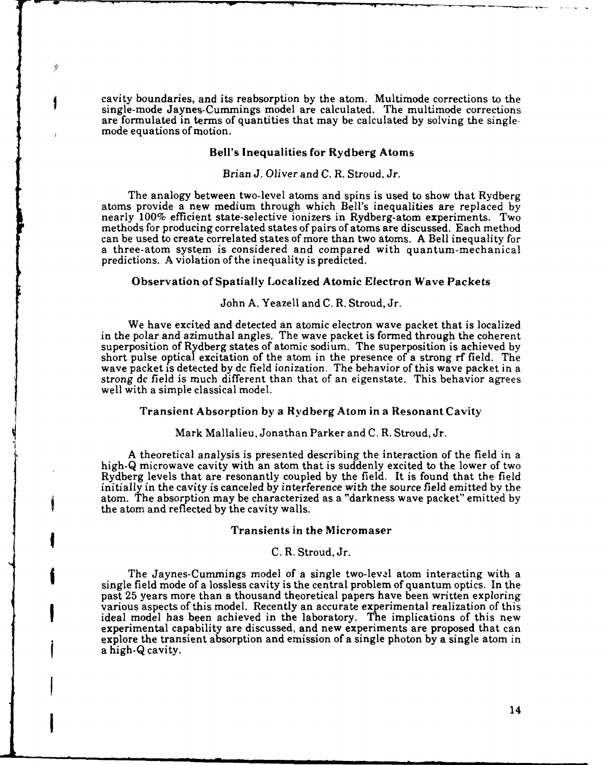cavity boundaries, and its reabsorption by the atom. Multimode corrections to the single-mode Jaynes-Cummings model are calculated. The multimode corrections are formulated in terms of quantities that may be calculated by solving the singlemode equations of motion.

#### Bell's Inequalities for Rydberg Atoms

#### Brian J. Oliver and C. R. Stroud, *Jr.*

The analogy between two-level atoms and spins is used to show that Rydberg atoms provide a new medium through which Bell's inequalities are replaced by nearly 100% efficient state-selective ionizers in Rydberg-atom experiments. Two methods for producing correlated states of pairs of atoms are discussed. Each method can be used to create correlated states of more than two atoms. A Bell inequality for a three-atom system is considered and compared with quantum-mechanical predictions. A violation of the inequality is predicted.

# Observation of Spatially Localized Atomic Electron Wave Packets

#### John **A.** Yeazell and **C.** R. Stroud, Jr.

We have excited and detected an atomic electron wave packet that is localized in the polar and azimuthal angles. The wave packet is formed through the coherent superposition of Rydberg states of atomic sodium. The superposition is achieved **by** short pulse optical excitation of the atom in the presence of a strong rf field. The wave packet is detected **by** dc field ionization. The behavior of this wave packet in a strong *dc* field is much different than that of an eigenstate. This behavior agrees well with a simple classical model.

#### Transient Absorption by a Rydberg Atom in a Resonant Cavity

Mark Mallalieu, Jonathan Parker and C. R. Stroud, Jr.

A theoretical analysis is presented describing the interaction of the field in a high-Q microwave cavity with an atom that is suddenly excited to the lower of two Rydberg levels that are resonantly coupled by the field. It is found that the field initially in the cavity is canceled **by** interference with the source field emitted by the atom. The absorption may be characterized as a "darkness wave packet" emitted by the atom and reflected **by** the cavity walls.

#### Transients in the Micromaser

#### **C.** R. Stroud, Jr.

The Jaynes-Cummings model of a single two-leval atom interacting with a single field mode of a lossless cavity is the central problem of quantum optics. In the past 25 years more than a thousand theoretical papers have been written exploring various aspects of this model. Recently an accurate experimental realization of this ideal model has been achieved in the laboratory. The implications of this new experimental capability are discussed, and new experiments are proposed that can explore the transient absorption and emission of a single photon by a single atom in a high-Q cavity.

-"-.- **I** - - mm ulummn..mm.nmm mmm m ~

 $\frac{1}{2}$ 

Ş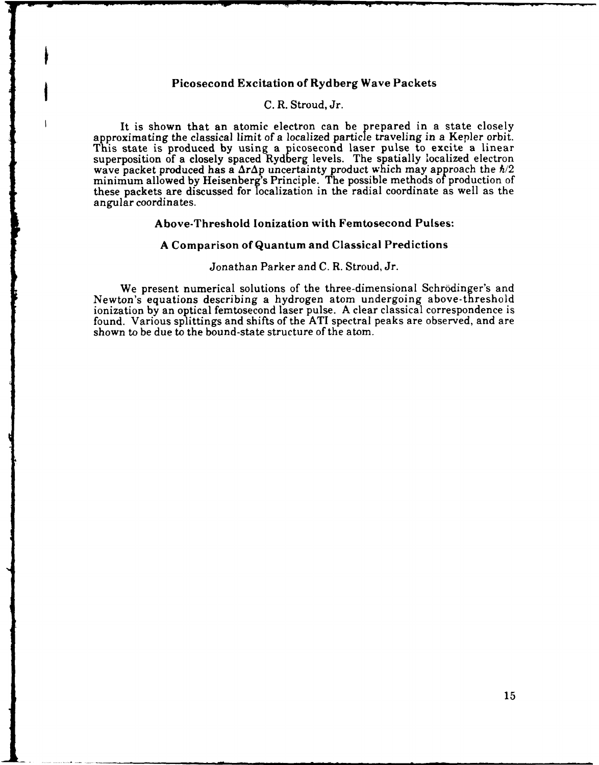# Picosecond Excitation of Rydberg Wave Packets

## **C.** R. Stroud, Jr.

It is shown that an atomic electron can be prepared in a state closely approximating the classical limit of a localized particle traveling in a Kepler orbit. This state is produced **by** using a picosecond laser pulse to excite a linear superposition of a closely spaced Rydberg levels. The spatially localized electron wave packet produced has a  $\Delta r \Delta p$  uncertainty product which may approach the  $\hbar/2$ minimum allowed by Heisenberg's Principle. The possible methods of production of these packets are discussed for localization in the radial coordinate as well as the angular coordinates.

#### Above-Threshold Ionization with Femtosecond Pulses:

#### A Comparison of Quantum and Classical Predictions

#### Jonathan Parker and C. R. Stroud, Jr.

We present numerical solutions of the three-dimensional Schrodinger's and Newton's equations describing a hydrogen atom undergoing above-threshold ionization by an optical femtosecond laser pulse. A clear classical correspondence is found. Various splittings and shifts of the ATI spectral peaks are observed, and are shown to be due to the bound-state structure of the atom.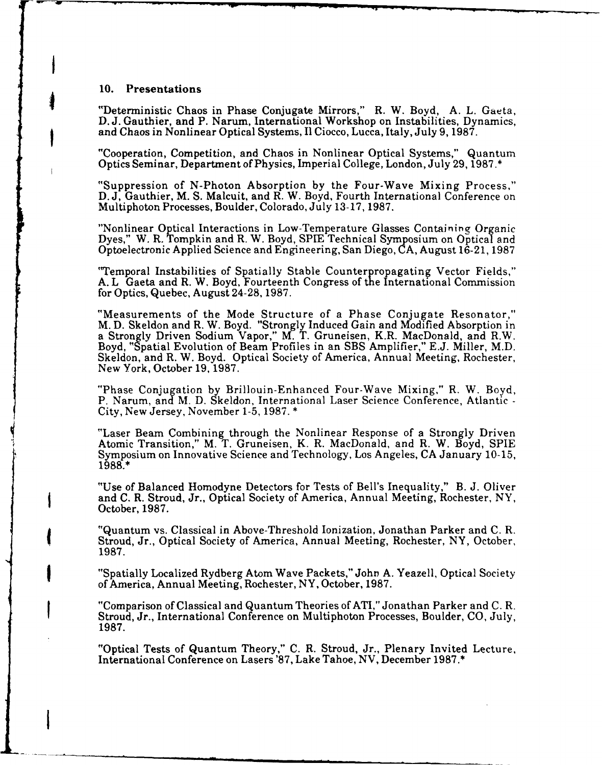# **10.** Presentations

i<br>I

"Deterministic Chaos in Phase Conjugate Mirrors," R. W. Boyd, A. L. Gaeta, D. J. Gauthier, and P. Narum, International Workshop on Instabilities, Dynamics, and Chaos in Nonlinear Optical Systems, I1 Ciocco, Lucca, Italy, July 9, **1987.**

"Cooperation, Competition, and Chaos in Nonlinear Optical Systems," Quantum Optics Seminar, Department of Physics, Imperial College, London, July 29, 1987.\*

"Suppression of N-Photon Absorption by the Four-Wave Mixing Process," D. J, Gauthier, M. S. Malcuit, and R. W. Boyd, Fourth International Conference on Multiphoton Processes, Boulder, Colorado, July 13-17, 1987.

"Nonlinear Optical Interactions in Low-Temperature Glasses Containing Organic Dyes," W. R. Tompkin and R. W. Boyd, **SPIE** Technical Symposium on Optical and Optoelectronic Applied Science and Engineering, San Diego, CA, August 16-21, 1987

"Temporal Instabilities of Spatially Stable Counterpropagating Vector Fields," **A.** L Gaeta and R. W. Boyd, Fourteenth Congress of the International Commission for Optics, Quebec, August 24-28, 1987.

"Measurements of the Mode Structure of a Phase Conjugate Resonator," M. D. Skeldon and R. W. Boyd. "Strongly Induced Gain and Modified Absorption in a Strongly Driven Sodium Vapor," M. T. Gruneisen, K.R. MacDonald, and R.W. Boyd, "Spatial Evolution of Beam Profiles in an SBS Amplifier," E.J. Miller, M.D. Skeldon, and R. W. Boyd. Optical Society of America, Annual Meeting, Rochester, New York, October 19, 1987.

"Phase Conjugation by Brillouin-Enhanced Four-Wave Mixing," R. W. Boyd, P. Narum, and M. D. Skeldon, International Laser Science Conference, Atlantic - City, New Jersey, November 1-5, 1987. \*

"Laser Beam Combining through the Nonlinear Response of a Strongly Driven Atomic Transition," M. T. Gruneisen, K. R. MacDonald, and R. W. Boyd, SPIE Symposium on Innovative Science and Technology, Los Angeles, CA January 10-15, 1988.\*

"Use of Balanced Homodyne Detectors for Tests of Bell's Inequality," B. J. Oliver and C. R. Stroud, Jr., Optical Society of America, Annual Meeting, Rochester, NY, October, **1987.**

"Quantum vs. Classical in Above-Threshold Ionization, Jonathan Parker and C. R. Stroud, Jr., Optical Society of America, Annual Meeting, Rochester, NY, October, **1987.**

"Spatially Localized Rydberg Atom Wave Packets," John **A.** Yeazell, Optical Society of America, Annual Meeting, Rochester, NY, October, 1987.

"Comparison of Classical and Quantum Theories of ATI," Jonathan Parker and C. R. Stroud, Jr., International Conference on Multiphoton Processes, Boulder, CO, July, **1987.**

"Optical Tests of Quantum Theory," C. R. Stroud, Jr., Plenary Invited Lecture, International Conference on Lasers '87, Lake Tahoe, **NV,** December 1987.\*